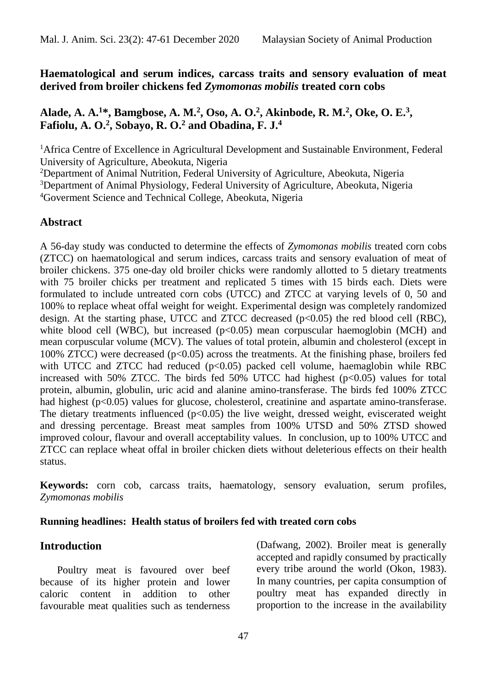**Haematological and serum indices, carcass traits and sensory evaluation of meat derived from broiler chickens fed** *Zymomonas mobilis* **treated corn cobs**

# **Alade, A. A.<sup>1</sup>\*, Bamgbose, A. M.<sup>2</sup> , Oso, A. O.<sup>2</sup> , Akinbode, R. M.<sup>2</sup> , Oke, O. E.<sup>3</sup> , Fafiolu, A. O.<sup>2</sup> , Sobayo, R. O.<sup>2</sup> and Obadina, F. J.<sup>4</sup>**

<sup>1</sup>Africa Centre of Excellence in Agricultural Development and Sustainable Environment, Federal University of Agriculture, Abeokuta, Nigeria

<sup>2</sup>Department of Animal Nutrition, Federal University of Agriculture, Abeokuta, Nigeria

<sup>3</sup>Department of Animal Physiology, Federal University of Agriculture, Abeokuta, Nigeria

<sup>4</sup>Goverment Science and Technical College, Abeokuta, Nigeria

### **Abstract**

A 56-day study was conducted to determine the effects of *Zymomonas mobilis* treated corn cobs (ZTCC) on haematological and serum indices, carcass traits and sensory evaluation of meat of broiler chickens. 375 one-day old broiler chicks were randomly allotted to 5 dietary treatments with 75 broiler chicks per treatment and replicated 5 times with 15 birds each. Diets were formulated to include untreated corn cobs (UTCC) and ZTCC at varying levels of 0, 50 and 100% to replace wheat offal weight for weight. Experimental design was completely randomized design. At the starting phase, UTCC and ZTCC decreased  $(p<0.05)$  the red blood cell (RBC), white blood cell (WBC), but increased  $(p<0.05)$  mean corpuscular haemoglobin (MCH) and mean corpuscular volume (MCV). The values of total protein, albumin and cholesterol (except in 100% ZTCC) were decreased (p<0.05) across the treatments. At the finishing phase, broilers fed with UTCC and ZTCC had reduced  $(p<0.05)$  packed cell volume, haemaglobin while RBC increased with 50% ZTCC. The birds fed 50% UTCC had highest  $(p<0.05)$  values for total protein, albumin, globulin, uric acid and alanine amino-transferase. The birds fed 100% ZTCC had highest (p<0.05) values for glucose, cholesterol, creatinine and aspartate amino-transferase. The dietary treatments influenced  $(p<0.05)$  the live weight, dressed weight, eviscerated weight and dressing percentage. Breast meat samples from 100% UTSD and 50% ZTSD showed improved colour, flavour and overall acceptability values. In conclusion, up to 100% UTCC and ZTCC can replace wheat offal in broiler chicken diets without deleterious effects on their health status.

**Keywords:** corn cob, carcass traits, haematology, sensory evaluation, serum profiles, *Zymomonas mobilis*

### **Running headlines: Health status of broilers fed with treated corn cobs**

# **Introduction**

Poultry meat is favoured over beef because of its higher protein and lower caloric content in addition to other favourable meat qualities such as tenderness

(Dafwang, 2002). Broiler meat is generally accepted and rapidly consumed by practically every tribe around the world (Okon, 1983). In many countries, per capita consumption of poultry meat has expanded directly in proportion to the increase in the availability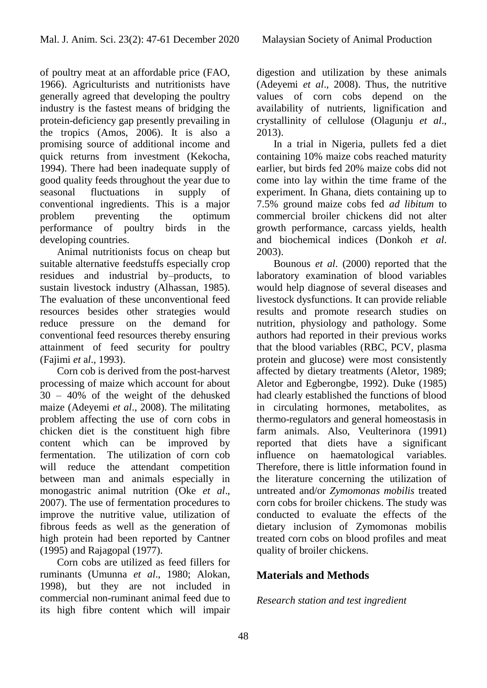of poultry meat at an affordable price (FAO, 1966). Agriculturists and nutritionists have generally agreed that developing the poultry industry is the fastest means of bridging the protein-deficiency gap presently prevailing in the tropics (Amos, 2006). It is also a promising source of additional income and quick returns from investment (Kekocha, 1994). There had been inadequate supply of good quality feeds throughout the year due to seasonal fluctuations in supply of conventional ingredients. This is a major problem preventing the optimum performance of poultry birds in the developing countries.

Animal nutritionists focus on cheap but suitable alternative feedstuffs especially crop residues and industrial by–products, to sustain livestock industry (Alhassan, 1985). The evaluation of these unconventional feed resources besides other strategies would reduce pressure on the demand for conventional feed resources thereby ensuring attainment of feed security for poultry (Fajimi *et* a*l*., 1993).

Corn cob is derived from the post-harvest processing of maize which account for about 30 – 40% of the weight of the dehusked maize (Adeyemi *et al*., 2008). The militating problem affecting the use of corn cobs in chicken diet is the constituent high fibre content which can be improved by fermentation. The utilization of corn cob will reduce the attendant competition between man and animals especially in monogastric animal nutrition (Oke *et al*., 2007). The use of fermentation procedures to improve the nutritive value, utilization of fibrous feeds as well as the generation of high protein had been reported by Cantner (1995) and Rajagopal (1977).

Corn cobs are utilized as feed fillers for ruminants (Umunna *et al*., 1980; Alokan, 1998), but they are not included in commercial non-ruminant animal feed due to its high fibre content which will impair

digestion and utilization by these animals (Adeyemi *et al*., 2008). Thus, the nutritive values of corn cobs depend on the availability of nutrients, lignification and crystallinity of cellulose (Olagunju *et al*., 2013).

In a trial in Nigeria, pullets fed a diet containing 10% maize cobs reached maturity earlier, but birds fed 20% maize cobs did not come into lay within the time frame of the experiment. In Ghana, diets containing up to 7.5% ground maize cobs fed *ad libitum* to commercial broiler chickens did not alter growth performance, carcass yields, health and biochemical indices (Donkoh *et al*. 2003).

Bounous *et al*. (2000) reported that the laboratory examination of blood variables would help diagnose of several diseases and livestock dysfunctions. It can provide reliable results and promote research studies on nutrition, physiology and pathology. Some authors had reported in their previous works that the blood variables (RBC, PCV, plasma protein and glucose) were most consistently affected by dietary treatments (Aletor, 1989; Aletor and Egberongbe, 1992). Duke (1985) had clearly established the functions of blood in circulating hormones, metabolites, as thermo-regulators and general homeostasis in farm animals. Also, Veulterinora (1991) reported that diets have a significant influence on haematological variables. Therefore, there is little information found in the literature concerning the utilization of untreated and/or *Zymomonas mobilis* treated corn cobs for broiler chickens. The study was conducted to evaluate the effects of the dietary inclusion of Zymomonas mobilis treated corn cobs on blood profiles and meat quality of broiler chickens.

# **Materials and Methods**

# *Research station and test ingredient*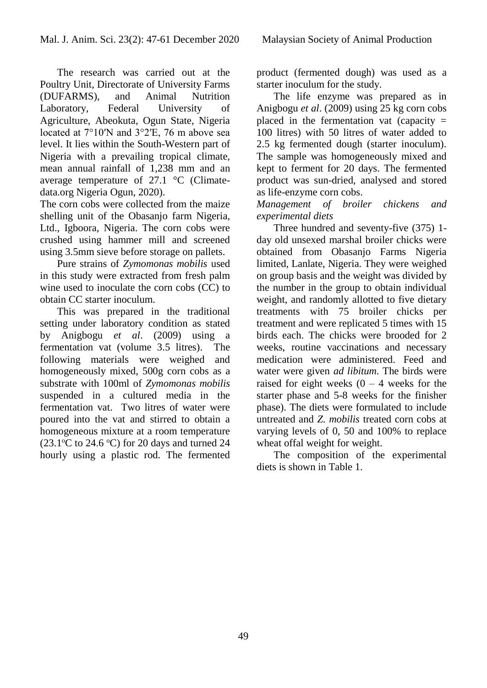The research was carried out at the Poultry Unit, Directorate of University Farms (DUFARMS), and Animal Nutrition Laboratory, Federal University of Agriculture, Abeokuta, Ogun State, Nigeria located at 7°10′N and 3°2′E, 76 m above sea level. It lies within the South-Western part of Nigeria with a prevailing tropical climate, mean annual rainfall of 1,238 mm and an average temperature of 27.1 °C (Climatedata.org Nigeria Ogun, 2020).

The corn cobs were collected from the maize shelling unit of the Obasanjo farm Nigeria, Ltd., Igboora, Nigeria. The corn cobs were crushed using hammer mill and screened using 3.5mm sieve before storage on pallets.

Pure strains of *Zymomonas mobilis* used in this study were extracted from fresh palm wine used to inoculate the corn cobs (CC) to obtain CC starter inoculum.

This was prepared in the traditional setting under laboratory condition as stated by Anigbogu *et al*. (2009) using a fermentation vat (volume 3.5 litres). The following materials were weighed and homogeneously mixed, 500g corn cobs as a substrate with 100ml of *Zymomonas mobilis* suspended in a cultured media in the fermentation vat. Two litres of water were poured into the vat and stirred to obtain a homogeneous mixture at a room temperature  $(23.1^{\circ}$ C to 24.6 °C) for 20 days and turned 24 hourly using a plastic rod. The fermented

product (fermented dough) was used as a starter inoculum for the study.

The life enzyme was prepared as in Anigbogu *et al*. (2009) using 25 kg corn cobs placed in the fermentation vat (capacity  $=$ 100 litres) with 50 litres of water added to 2.5 kg fermented dough (starter inoculum). The sample was homogeneously mixed and kept to ferment for 20 days. The fermented product was sun-dried, analysed and stored as life-enzyme corn cobs.

*Management of broiler chickens and experimental diets*

Three hundred and seventy-five (375) 1 day old unsexed marshal broiler chicks were obtained from Obasanjo Farms Nigeria limited, Lanlate, Nigeria. They were weighed on group basis and the weight was divided by the number in the group to obtain individual weight, and randomly allotted to five dietary treatments with 75 broiler chicks per treatment and were replicated 5 times with 15 birds each. The chicks were brooded for 2 weeks, routine vaccinations and necessary medication were administered. Feed and water were given *ad libitum*. The birds were raised for eight weeks  $(0 - 4$  weeks for the starter phase and 5-8 weeks for the finisher phase). The diets were formulated to include untreated and *Z. mobilis* treated corn cobs at varying levels of 0, 50 and 100% to replace wheat offal weight for weight.

The composition of the experimental diets is shown in Table 1.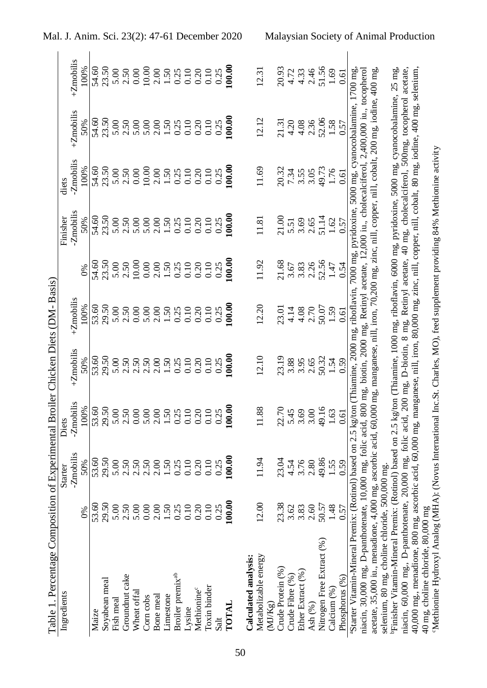| Table 1. Percentage Composition of Experimental Broiler Chicken Diets (DM- Basis)                                                                              |        |                |                                                                                                            |           |                  |                                     |                                                                             |                               |                |                                                                                                                                                                                                                                                                                                               |
|----------------------------------------------------------------------------------------------------------------------------------------------------------------|--------|----------------|------------------------------------------------------------------------------------------------------------|-----------|------------------|-------------------------------------|-----------------------------------------------------------------------------|-------------------------------|----------------|---------------------------------------------------------------------------------------------------------------------------------------------------------------------------------------------------------------------------------------------------------------------------------------------------------------|
| Ingredients                                                                                                                                                    |        | Starter        | Diets                                                                                                      |           |                  |                                     | Finisher                                                                    | diets                         |                |                                                                                                                                                                                                                                                                                                               |
|                                                                                                                                                                |        | -Zmobilis      | Zmobilis                                                                                                   | +Zmobilis | +Zmobilis        |                                     | Zmobilis                                                                    | Zmobilis                      | +Zmobilis      | $+Z$ mobilis                                                                                                                                                                                                                                                                                                  |
|                                                                                                                                                                | $6\%$  | 50%            | 100%                                                                                                       | 50%       | 100%             |                                     | 50%                                                                         | 100%                          | 50%            | 100%                                                                                                                                                                                                                                                                                                          |
| Maize                                                                                                                                                          | 53.60  |                | 53.60                                                                                                      | 53.60     | 53.60            | 54.60                               | 54.60                                                                       | 54.60                         | 54.60          | 54.60                                                                                                                                                                                                                                                                                                         |
| Soyabean meal                                                                                                                                                  | 29.50  | 53.60<br>29.50 | 29.50                                                                                                      | 29.50     | 29.50            | 23.50                               | 23.50                                                                       | 23.50                         | 23.50          | 23.50                                                                                                                                                                                                                                                                                                         |
| Fish meal                                                                                                                                                      | 5.00   | 5.00           | 5.00                                                                                                       | 5.00      | 5.00             | 5.00                                | 5.00                                                                        | 5.00                          | 5.00           | 5.00                                                                                                                                                                                                                                                                                                          |
| Groundnut cake                                                                                                                                                 | 2.50   | 2.50           | 2.50                                                                                                       | 2.50      | 2.50             | 2.50                                | 2.50                                                                        | 2.50                          | 2.50           | 2.50                                                                                                                                                                                                                                                                                                          |
| Wheat offal                                                                                                                                                    | 5.00   | 2.50           | 0.00                                                                                                       | 2.50      | 0.00             | 10.00                               | 5.00                                                                        | 0.00                          | 5.00           | 0.00                                                                                                                                                                                                                                                                                                          |
| Corn cobs                                                                                                                                                      | 0.00   | 2.50           | 5.00                                                                                                       | 2.50      | 5.00             | $0.00\,$                            | 5.00                                                                        | 10.00                         | 5.00           |                                                                                                                                                                                                                                                                                                               |
| Bone meal                                                                                                                                                      | 2.00   | $2.00$<br>1.50 | 2.00                                                                                                       | 2.00      | 2.00             | 2.00                                | 2.00                                                                        | 2.00                          | 2.00           |                                                                                                                                                                                                                                                                                                               |
| Limestone                                                                                                                                                      | 1.50   |                | 1.50                                                                                                       | 1.50      |                  |                                     |                                                                             | $1.50\,$                      | 1.50           |                                                                                                                                                                                                                                                                                                               |
| Broiler premix <sup>ab</sup>                                                                                                                                   | 0.25   | $0.25$<br>0.10 | 0.25                                                                                                       | 0.25      | $1.50$<br>0.25   | 150<br>0.25<br>0.30<br>0.35<br>0.35 | $\begin{array}{c} 1.50 \\ 0.25 \\ 0.10 \\ 0.30 \\ 0.10 \\ 0.25 \end{array}$ | 0.25                          | $0.25$<br>0.10 | $\begin{array}{c} 10.00 \\ 2.00 \\ 1.50 \\ 0.21 \\ 0.30 \\ 0.10 \\ 0.01 \\ 0.01 \\ 0.01 \\ 0.02 \\ 0.03 \\ 0.03 \\ 0.03 \\ 0.03 \\ 0.03 \\ 0.03 \\ 0.03 \\ 0.03 \\ 0.03 \\ 0.03 \\ 0.03 \\ 0.03 \\ 0.03 \\ 0.03 \\ 0.03 \\ 0.03 \\ 0.03 \\ 0.03 \\ 0.03 \\ 0.03 \\ 0.03 \\ 0.03 \\ 0.03 \\ 0.03 \\ 0.03 \\ 0$ |
| Lysine                                                                                                                                                         | 0.10   |                | 0.10                                                                                                       | 0.10      | $0.10\,$         |                                     |                                                                             | $0.10\,$                      |                |                                                                                                                                                                                                                                                                                                               |
| Methionine <sup>c</sup>                                                                                                                                        | 0.20   | 0.20           | 0.20                                                                                                       | 0.20      | 0.20             |                                     |                                                                             | 0.20                          | 0.20           |                                                                                                                                                                                                                                                                                                               |
| Toxin binder                                                                                                                                                   | 0.10   | 0.10           | $0.10\,$                                                                                                   | 0.10      | $0.10$<br>$0.25$ |                                     |                                                                             | 0.10                          | $0.10$         |                                                                                                                                                                                                                                                                                                               |
| Salt                                                                                                                                                           | 0.25   | 0.25           | 0.25                                                                                                       | 0.25      |                  |                                     |                                                                             | 0.25                          | 0.25           |                                                                                                                                                                                                                                                                                                               |
| TOTAL                                                                                                                                                          | 100.00 | 00.00          | 100.00                                                                                                     | 100.00    | 00.00            | 100.00                              | 00.00                                                                       | 100.00                        | 100.00         | 100.00                                                                                                                                                                                                                                                                                                        |
|                                                                                                                                                                |        |                |                                                                                                            |           |                  |                                     |                                                                             |                               |                |                                                                                                                                                                                                                                                                                                               |
| Calculated analysis:                                                                                                                                           |        |                |                                                                                                            |           |                  |                                     |                                                                             |                               |                |                                                                                                                                                                                                                                                                                                               |
| Metabolizable energy<br>(MJ/Kg)                                                                                                                                | 12.00  | 11.94          | 11.88                                                                                                      | 12.10     | 12.20            | 11.92                               | 11.81                                                                       | 11.69                         | 12.12          | 12.31                                                                                                                                                                                                                                                                                                         |
|                                                                                                                                                                |        |                |                                                                                                            |           |                  |                                     |                                                                             |                               |                |                                                                                                                                                                                                                                                                                                               |
| Crude Protein (%)                                                                                                                                              | 23.38  | 23.04          | 22.70                                                                                                      | 23.19     | 23.01            |                                     | 21.00                                                                       |                               | 21.31          |                                                                                                                                                                                                                                                                                                               |
| Crude Fibre (%)                                                                                                                                                | 3.62   | 4.54<br>3.76   | $5.45$<br>$3.69$                                                                                           | 3.88      | 4.14             | 21.68<br>3.67                       | 5.51<br>3.69                                                                |                               | 4.20           |                                                                                                                                                                                                                                                                                                               |
| Ether Extract (%)                                                                                                                                              | 3.83   |                |                                                                                                            | 3.95      | 4.08             | 3.83                                |                                                                             | 20.32<br>7.34<br>3.55<br>3.65 | 4.08           | 20.93<br>4.72<br>4.33                                                                                                                                                                                                                                                                                         |
| Ash (%)                                                                                                                                                        | 2.60   | 2.80           | 3.00                                                                                                       | 2.65      | 2.70             | 2.26                                | 2.65                                                                        |                               | 2.36           | 2.46                                                                                                                                                                                                                                                                                                          |
| Nitrogen Free Extract (%)                                                                                                                                      | 50.57  | 49.86          | 49.16                                                                                                      | 50.32     | 50.07            | 52.56                               | 51.14                                                                       | 49.73                         | 52.06          | $51.56$<br>$1.69$                                                                                                                                                                                                                                                                                             |
| Calcium (%)                                                                                                                                                    | 1.48   | 1.55           | 1.63                                                                                                       | 1.54      | 1.59             | $1.47\,$                            | 1.62                                                                        | 1.76                          | $1.58\,$       |                                                                                                                                                                                                                                                                                                               |
| Phosphorus (%)                                                                                                                                                 | 0.57   | 0.59           | 0.61                                                                                                       | 0.59      | 0.61             | 0.54                                | 0.57                                                                        | $0.61\,$                      | 0.57           | 0.61                                                                                                                                                                                                                                                                                                          |
| <sup>a</sup> Starter Vitamin-Mineral Premix: (Rotinol)                                                                                                         |        |                | based on 2.5 kg/ton (Thiamine, 2000 mg, riboflavin, 7000 mg, pyridoxine, 5000 mg, cyanocobalamine, 1700 mg |           |                  |                                     |                                                                             |                               |                |                                                                                                                                                                                                                                                                                                               |
| niacin, 30,000 mg, D-panthotenate, 10,000 mg, folic acid, 800 mg, biotin, 2000 mg, Retinyl acetate, 12,000 iu, cholecalciferol, 2,400,000 iu, tocopherol       |        |                |                                                                                                            |           |                  |                                     |                                                                             |                               |                |                                                                                                                                                                                                                                                                                                               |
| acetate, 35,000 iu., menadione, 4,000 mg, ascorbic acid, 60,000 mg, manganese, nill, iron, 70,200 mg, zinc, nill, copper, nill, cobalt, 200 mg, iodine, 400 mg |        |                |                                                                                                            |           |                  |                                     |                                                                             |                               |                |                                                                                                                                                                                                                                                                                                               |
| selenium, 80 mg, choline chloride, 500,000 mg                                                                                                                  |        |                |                                                                                                            |           |                  |                                     |                                                                             |                               |                |                                                                                                                                                                                                                                                                                                               |
| PFinisher Vitamin-Mineral Premix: (Rotinol) based on 2.5 kg/ton (Thiamine, 1000 mg, riboflavin, 6000 mg, pyridoxine, 5000 mg, cyanocobalamine, 25 mg,          |        |                |                                                                                                            |           |                  |                                     |                                                                             |                               |                |                                                                                                                                                                                                                                                                                                               |
| niacin, 60,000 mg., D-panthotenate, 20,000 mg, folic acid, 200 mg, D-biotin, 8 mg, Retinyl acetate, 40 mg, cholecalciferol, 500mg, tocopherol                  |        |                |                                                                                                            |           |                  |                                     |                                                                             |                               |                | acetate,                                                                                                                                                                                                                                                                                                      |
| 40,000 mg, menadione, 800 mg, ascorbic acid, 60,000 mg, manganese, nill, iron, 80,000 mg, zinc, nill, copper, nill, cobalt, 80 mg, iodine, 400 mg, selenium,   |        |                |                                                                                                            |           |                  |                                     |                                                                             |                               |                |                                                                                                                                                                                                                                                                                                               |
| 40 mg, choline chloride, 80,000 mg                                                                                                                             |        |                |                                                                                                            |           |                  |                                     |                                                                             |                               |                |                                                                                                                                                                                                                                                                                                               |
| Methionine Hydroxyl Analog (MHA): (Novus International Inc.St. Charles, MO), feed supplement providing 84% Methionine activity                                 |        |                |                                                                                                            |           |                  |                                     |                                                                             |                               |                |                                                                                                                                                                                                                                                                                                               |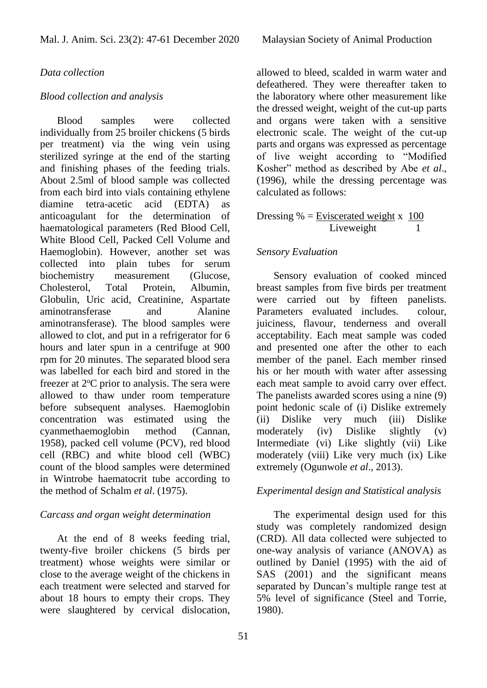#### *Data collection*

#### *Blood collection and analysis*

Blood samples were collected individually from 25 broiler chickens (5 birds per treatment) via the wing vein using sterilized syringe at the end of the starting and finishing phases of the feeding trials. About 2.5ml of blood sample was collected from each bird into vials containing ethylene diamine tetra-acetic acid (EDTA) anticoagulant for the determination of haematological parameters (Red Blood Cell, White Blood Cell, Packed Cell Volume and Haemoglobin). However, another set was collected into plain tubes for serum biochemistry measurement (Glucose, Cholesterol, Total Protein, Albumin, Globulin, Uric acid, Creatinine, Aspartate aminotransferase and Alanine aminotransferase). The blood samples were allowed to clot, and put in a refrigerator for 6 hours and later spun in a centrifuge at 900 rpm for 20 minutes. The separated blood sera was labelled for each bird and stored in the freezer at  $2^{\circ}$ C prior to analysis. The sera were allowed to thaw under room temperature before subsequent analyses. Haemoglobin concentration was estimated using the cyanmethaemoglobin method (Cannan, 1958), packed cell volume (PCV), red blood cell (RBC) and white blood cell (WBC) count of the blood samples were determined in Wintrobe haematocrit tube according to the method of Schalm *et al*. (1975).

### *Carcass and organ weight determination*

At the end of 8 weeks feeding trial, twenty-five broiler chickens (5 birds per treatment) whose weights were similar or close to the average weight of the chickens in each treatment were selected and starved for about 18 hours to empty their crops. They were slaughtered by cervical dislocation, allowed to bleed, scalded in warm water and defeathered. They were thereafter taken to the laboratory where other measurement like the dressed weight, weight of the cut-up parts and organs were taken with a sensitive electronic scale. The weight of the cut-up parts and organs was expressed as percentage of live weight according to "Modified Kosher" method as described by Abe *et al*., (1996), while the dressing percentage was calculated as follows:

### Dressing  $\%$  = Eviscerated weight x 100 Liveweight 1

#### *Sensory Evaluation*

Sensory evaluation of cooked minced breast samples from five birds per treatment were carried out by fifteen panelists. Parameters evaluated includes. colour, juiciness, flavour, tenderness and overall acceptability. Each meat sample was coded and presented one after the other to each member of the panel. Each member rinsed his or her mouth with water after assessing each meat sample to avoid carry over effect. The panelists awarded scores using a nine (9) point hedonic scale of (i) Dislike extremely (ii) Dislike very much (iii) Dislike moderately (iv) Dislike slightly (v) Intermediate (vi) Like slightly (vii) Like moderately (viii) Like very much (ix) Like extremely (Ogunwole *et al*., 2013).

#### *Experimental design and Statistical analysis*

The experimental design used for this study was completely randomized design (CRD). All data collected were subjected to one-way analysis of variance (ANOVA) as outlined by Daniel (1995) with the aid of SAS (2001) and the significant means separated by Duncan's multiple range test at 5% level of significance (Steel and Torrie, 1980).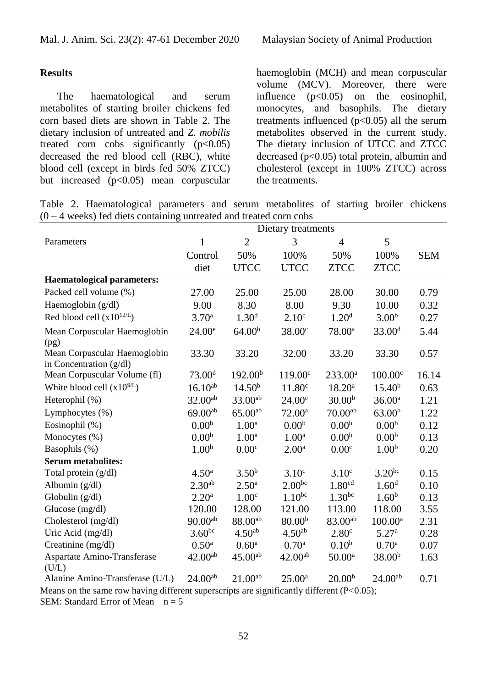# **Results**

The haematological and serum metabolites of starting broiler chickens fed corn based diets are shown in Table 2. The dietary inclusion of untreated and *Z. mobilis* treated corn cobs significantly  $(p<0.05)$ decreased the red blood cell (RBC), white blood cell (except in birds fed 50% ZTCC) but increased  $(p<0.05)$  mean corpuscular haemoglobin (MCH) and mean corpuscular volume (MCV). Moreover, there were influence  $(p<0.05)$  on the eosinophil, monocytes, and basophils. The dietary treatments influenced  $(p<0.05)$  all the serum metabolites observed in the current study. The dietary inclusion of UTCC and ZTCC decreased  $(p<0.05)$  total protein, albumin and cholesterol (except in 100% ZTCC) across the treatments.

Table 2. Haematological parameters and serum metabolites of starting broiler chickens  $(0 - 4$  weeks) fed diets containing untreated and treated corn cobs

|                                                           | Dietary treatments |                     |                    |                    |                     |            |  |
|-----------------------------------------------------------|--------------------|---------------------|--------------------|--------------------|---------------------|------------|--|
| Parameters                                                | $\mathbf{1}$       | $\overline{2}$      | 3                  | $\overline{4}$     | 5                   |            |  |
|                                                           | Control            | 50%                 | 100%               | 50%                | 100%                | <b>SEM</b> |  |
|                                                           | diet               | <b>UTCC</b>         | <b>UTCC</b>        | <b>ZTCC</b>        | <b>ZTCC</b>         |            |  |
| <b>Haematological parameters:</b>                         |                    |                     |                    |                    |                     |            |  |
| Packed cell volume (%)                                    | 27.00              | 25.00               | 25.00              | 28.00              | 30.00               | 0.79       |  |
| Haemoglobin $(g/dl)$                                      | 9.00               | 8.30                | 8.00               | 9.30               | 10.00               | 0.32       |  |
| Red blood cell $(x10^{12/L})$                             | 3.70 <sup>a</sup>  | 1.30 <sup>d</sup>   | 2.10 <sup>c</sup>  | 1.20 <sup>d</sup>  | 3.00 <sup>b</sup>   | 0.27       |  |
| Mean Corpuscular Haemoglobin<br>(pg)                      | 24.00 <sup>e</sup> | 64.00 <sup>b</sup>  | 38.00 <sup>c</sup> | $78.00^a$          | 33.00 <sup>d</sup>  | 5.44       |  |
| Mean Corpuscular Haemoglobin<br>in Concentration $(g/dl)$ | 33.30              | 33.20               | 32.00              | 33.20              | 33.30               | 0.57       |  |
| Mean Corpuscular Volume (fl)                              | 73.00 <sup>d</sup> | 192.00 <sup>b</sup> | $119.00^{\circ}$   | $233.00^a$         | 100.00 <sup>c</sup> | 16.14      |  |
| White blood cell $(x10^{9/L})$                            | $16.10^{ab}$       | 14.50 <sup>b</sup>  | 11.80 <sup>c</sup> | $18.20^{\rm a}$    | 15.40 <sup>b</sup>  | 0.63       |  |
| Heterophil (%)                                            | $32.00^{ab}$       | $33.00^{ab}$        | 24.00 <sup>c</sup> | 30.00 <sup>b</sup> | 36.00 <sup>a</sup>  | 1.21       |  |
| Lymphocytes (%)                                           | $69.00^{ab}$       | $65.00^{ab}$        | $72.00^{\text{a}}$ | $70.00^{ab}$       | 63.00 <sup>b</sup>  | 1.22       |  |
| Eosinophil (%)                                            | 0.00 <sup>b</sup>  | 1.00 <sup>a</sup>   | 0.00 <sup>b</sup>  | 0.00 <sup>b</sup>  | 0.00 <sup>b</sup>   | 0.12       |  |
| Monocytes (%)                                             | 0.00 <sup>b</sup>  | 1.00 <sup>a</sup>   | 1.00 <sup>a</sup>  | 0.00 <sup>b</sup>  | 0.00 <sup>b</sup>   | 0.13       |  |
| Basophils (%)                                             | 1.00 <sup>b</sup>  | 0.00 <sup>c</sup>   | 2.00 <sup>a</sup>  | 0.00 <sup>c</sup>  | 1.00 <sup>b</sup>   | 0.20       |  |
| <b>Serum metabolites:</b>                                 |                    |                     |                    |                    |                     |            |  |
| Total protein (g/dl)                                      | 4.50 <sup>a</sup>  | $3.50^{b}$          | 3.10 <sup>c</sup>  | 3.10 <sup>c</sup>  | $3.20^{bc}$         | 0.15       |  |
| Albumin (g/dl)                                            | $2.30^{ab}$        | $2.50^{\rm a}$      | $2.00^{bc}$        | 1.80 <sup>cd</sup> | 1.60 <sup>d</sup>   | 0.10       |  |
| Globulin (g/dl)                                           | 2.20 <sup>a</sup>  | 1.00 <sup>c</sup>   | $1.10^{bc}$        | $1.30^{bc}$        | 1.60 <sup>b</sup>   | 0.13       |  |
| Glucose $(mg/dl)$                                         | 120.00             | 128.00              | 121.00             | 113.00             | 118.00              | 3.55       |  |
| Cholesterol (mg/dl)                                       | $90.00^{ab}$       | 88.00ab             | 80.00 <sup>b</sup> | 83.00ab            | $100.00^{\text{a}}$ | 2.31       |  |
| Uric Acid (mg/dl)                                         | $3.60^{bc}$        | 4.50 <sup>ab</sup>  | 4.50 <sup>ab</sup> | 2.80 <sup>c</sup>  | 5.27 <sup>a</sup>   | 0.28       |  |
| Creatinine (mg/dl)                                        | $0.50^{\rm a}$     | $0.60^{\rm a}$      | 0.70 <sup>a</sup>  | 0.10 <sup>b</sup>  | 0.70 <sup>a</sup>   | 0.07       |  |
| Aspartate Amino-Transferase<br>(U/L)                      | $42.00^{ab}$       | $45.00^{ab}$        | $42.00^{ab}$       | $50.00^{\rm a}$    | 38.00 <sup>b</sup>  | 1.63       |  |
| Alanine Amino-Transferase (U/L)                           | $24.00^{ab}$       | $21.00^{ab}$        | $25.00^{\rm a}$    | 20.00 <sup>b</sup> | $24.00^{ab}$        | 0.71       |  |

Means on the same row having different superscripts are significantly different  $(P<0.05)$ ;

SEM: Standard Error of Mean  $n = 5$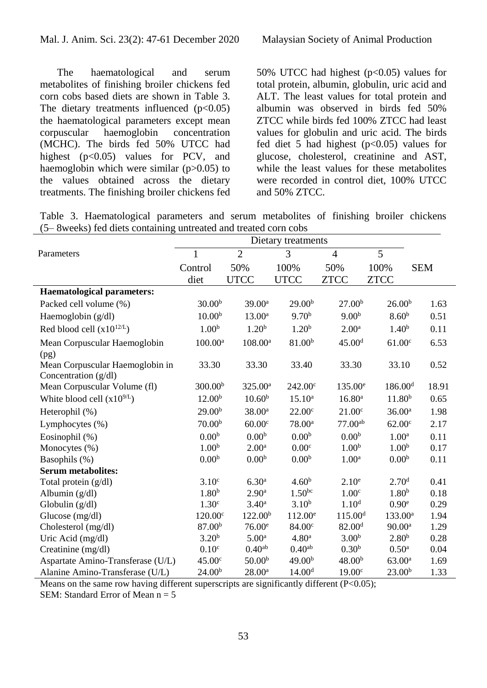The haematological and serum metabolites of finishing broiler chickens fed corn cobs based diets are shown in Table 3. The dietary treatments influenced  $(p<0.05)$ the haematological parameters except mean corpuscular haemoglobin concentration (MCHC). The birds fed 50% UTCC had highest  $(p<0.05)$  values for PCV, and haemoglobin which were similar  $(p>0.05)$  to the values obtained across the dietary treatments. The finishing broiler chickens fed 50% UTCC had highest  $(p<0.05)$  values for total protein, albumin, globulin, uric acid and ALT. The least values for total protein and albumin was observed in birds fed 50% ZTCC while birds fed 100% ZTCC had least values for globulin and uric acid. The birds fed diet 5 had highest  $(p<0.05)$  values for glucose, cholesterol, creatinine and AST, while the least values for these metabolites were recorded in control diet, 100% UTCC and 50% ZTCC.

Table 3. Haematological parameters and serum metabolites of finishing broiler chickens (5– 8weeks) fed diets containing untreated and treated corn cobs

| Parameters                                              | $\mathbf{1}$        | $\overline{2}$      | 3                  | $\overline{4}$      | 5                   |            |
|---------------------------------------------------------|---------------------|---------------------|--------------------|---------------------|---------------------|------------|
|                                                         | Control             | 50%                 | 100%               | 50%                 | 100%                | <b>SEM</b> |
|                                                         | diet                | <b>UTCC</b>         | <b>UTCC</b>        | <b>ZTCC</b>         | <b>ZTCC</b>         |            |
| <b>Haematological parameters:</b>                       |                     |                     |                    |                     |                     |            |
| Packed cell volume (%)                                  | 30.00 <sup>b</sup>  | 39.00 <sup>a</sup>  | 29.00 <sup>b</sup> | 27.00 <sup>b</sup>  | 26.00 <sup>b</sup>  | 1.63       |
| Haemoglobin $(g/dl)$                                    | 10.00 <sup>b</sup>  | $13.00^a$           | 9.70 <sup>b</sup>  | 9.00 <sup>b</sup>   | 8.60 <sup>b</sup>   | 0.51       |
| Red blood cell $(x10^{12/L})$                           | 1.00 <sup>b</sup>   | 1.20 <sup>b</sup>   | 1.20 <sup>b</sup>  | 2.00 <sup>a</sup>   | 1.40 <sup>b</sup>   | 0.11       |
| Mean Corpuscular Haemoglobin<br>(pg)                    | $100.00^a$          | $108.00^{\rm a}$    | 81.00 <sup>b</sup> | 45.00 <sup>d</sup>  | 61.00 <sup>c</sup>  | 6.53       |
| Mean Corpuscular Haemoglobin in<br>Concentration (g/dl) | 33.30               | 33.30               | 33.40              | 33.30               | 33.10               | 0.52       |
| Mean Corpuscular Volume (fl)                            | 300.00 <sup>b</sup> | $325.00^a$          | $242.00^{\circ}$   | 135.00 <sup>e</sup> | 186.00 <sup>d</sup> | 18.91      |
| White blood cell $(x10^{9/L})$                          | 12.00 <sup>b</sup>  | 10.60 <sup>b</sup>  | $15.10^{a}$        | $16.80^{\rm a}$     | 11.80 <sup>b</sup>  | 0.65       |
| Heterophil (%)                                          | 29.00 <sup>b</sup>  | 38.00 <sup>a</sup>  | 22.00 <sup>c</sup> | 21.00 <sup>c</sup>  | 36.00 <sup>a</sup>  | 1.98       |
| Lymphocytes (%)                                         | 70.00 <sup>b</sup>  | 60.00 <sup>c</sup>  | $78.00^a$          | $77.00^{ab}$        | 62.00 <sup>c</sup>  | 2.17       |
| Eosinophil (%)                                          | 0.00 <sup>b</sup>   | 0.00 <sup>b</sup>   | 0.00 <sup>b</sup>  | 0.00 <sup>b</sup>   | 1.00 <sup>a</sup>   | 0.11       |
| Monocytes (%)                                           | 1.00 <sup>b</sup>   | 2.00 <sup>a</sup>   | 0.00 <sup>c</sup>  | 1.00 <sup>b</sup>   | 1.00 <sup>b</sup>   | 0.17       |
| Basophils (%)                                           | 0.00 <sup>b</sup>   | 0.00 <sup>b</sup>   | 0.00 <sup>b</sup>  | 1.00 <sup>a</sup>   | 0.00 <sup>b</sup>   | 0.11       |
| <b>Serum metabolites:</b>                               |                     |                     |                    |                     |                     |            |
| Total protein (g/dl)                                    | 3.10 <sup>c</sup>   | 6.30 <sup>a</sup>   | 4.60 <sup>b</sup>  | 2.10 <sup>e</sup>   | 2.70 <sup>d</sup>   | 0.41       |
| Albumin (g/dl)                                          | 1.80 <sup>b</sup>   | 2.90 <sup>a</sup>   | $1.50^{bc}$        | 1.00 <sup>c</sup>   | 1.80 <sup>b</sup>   | 0.18       |
| Globulin $(g/dl)$                                       | 1.30 <sup>c</sup>   | $3.40^{\rm a}$      | $3.10^{b}$         | 1.10 <sup>d</sup>   | 0.90 <sup>e</sup>   | 0.29       |
| Glucose (mg/dl)                                         | 120.00 <sup>c</sup> | 122.00 <sup>b</sup> | $112.00^e$         | 115.00 <sup>d</sup> | 133.00 <sup>a</sup> | 1.94       |
| Cholesterol (mg/dl)                                     | 87.00 <sup>b</sup>  | 76.00 <sup>e</sup>  | 84.00 <sup>c</sup> | 82.00 <sup>d</sup>  | 90.00 <sup>a</sup>  | 1.29       |
| Uric Acid (mg/dl)                                       | 3.20 <sup>b</sup>   | 5.00 <sup>a</sup>   | 4.80 <sup>a</sup>  | 3.00 <sup>b</sup>   | 2.80 <sup>b</sup>   | 0.28       |
| Creatinine (mg/dl)                                      | 0.10 <sup>c</sup>   | 0.40 <sup>ab</sup>  | 0.40 <sup>ab</sup> | 0.30 <sup>b</sup>   | 0.50 <sup>a</sup>   | 0.04       |
| Aspartate Amino-Transferase (U/L)                       | 45.00c              | 50.00 <sup>b</sup>  | 49.00 <sup>b</sup> | 48.00 <sup>b</sup>  | $63.00^{\rm a}$     | 1.69       |
| Alanine Amino-Transferase (U/L)                         | 24.00 <sup>b</sup>  | $28.00^{\rm a}$     | 14.00 <sup>d</sup> | 19.00 <sup>c</sup>  | 23.00 <sup>b</sup>  | 1.33       |

Means on the same row having different superscripts are significantly different (P<0.05);

SEM: Standard Error of Mean  $n = 5$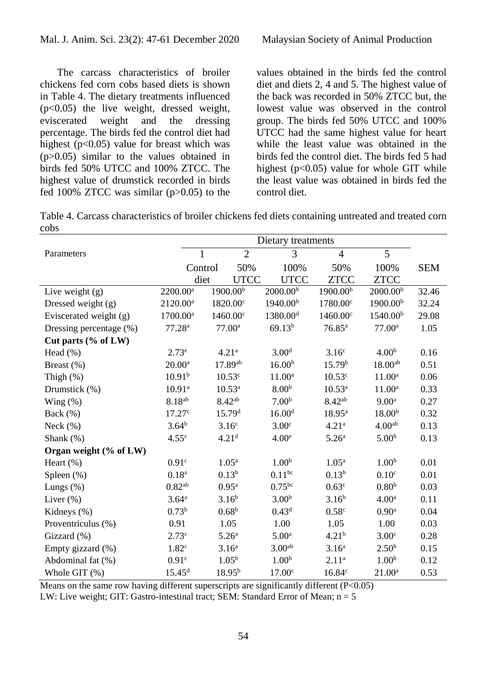The carcass characteristics of broiler chickens fed corn cobs based diets is shown in Table 4. The dietary treatments influenced (p<0.05) the live weight, dressed weight, eviscerated weight and the dressing percentage. The birds fed the control diet had highest  $(p<0.05)$  value for breast which was (p>0.05) similar to the values obtained in birds fed 50% UTCC and 100% ZTCC. The highest value of drumstick recorded in birds fed 100% ZTCC was similar  $(p>0.05)$  to the

values obtained in the birds fed the control diet and diets 2, 4 and 5. The highest value of the back was recorded in 50% ZTCC but, the lowest value was observed in the control group. The birds fed 50% UTCC and 100% UTCC had the same highest value for heart while the least value was obtained in the birds fed the control diet. The birds fed 5 had highest ( $p<0.05$ ) value for whole GIT while the least value was obtained in birds fed the control diet.

Table 4. Carcass characteristics of broiler chickens fed diets containing untreated and treated corn cobs

|                         |                      | Dietary treatments |                      |                      |                      |                      |            |
|-------------------------|----------------------|--------------------|----------------------|----------------------|----------------------|----------------------|------------|
| Parameters              | 1                    |                    | $\overline{2}$       | 3                    | $\overline{4}$       | 5                    |            |
|                         | Control              |                    | 50%                  | 100%                 | 50%                  | 100%                 | <b>SEM</b> |
|                         | diet                 |                    | <b>UTCC</b>          | <b>UTCC</b>          | <b>ZTCC</b>          | <b>ZTCC</b>          |            |
| Live weight $(g)$       | 2200.00 <sup>a</sup> |                    | 1900.00 <sup>b</sup> | 2000.00 <sup>b</sup> | 1900.00 <sup>b</sup> | 2000.00 <sup>b</sup> | 32.46      |
| Dressed weight (g)      | $2120.00^a$          |                    | $1820.00^{\circ}$    | 1940.00 <sup>b</sup> | 1780.00°             | 1900.00 <sup>b</sup> | 32.24      |
| Eviscerated weight (g)  | $1700.00^{\rm a}$    |                    | $1460.00^{\circ}$    | 1380.00 <sup>d</sup> | 1460.00°             | 1540.00 <sup>b</sup> | 29.08      |
| Dressing percentage (%) | 77.28 <sup>a</sup>   |                    | 77.00 <sup>a</sup>   | 69.13 <sup>b</sup>   | $76.85^{\rm a}$      | 77.00 <sup>a</sup>   | 1.05       |
| Cut parts (% of LW)     |                      |                    |                      |                      |                      |                      |            |
| Head $(\%)$             | $2.73^e$             |                    | 4.21 <sup>a</sup>    | 3.00 <sup>d</sup>    | 3.16 <sup>c</sup>    | 4.00 <sup>b</sup>    | 0.16       |
| Breast (%)              | $20.00^{\rm a}$      |                    | 17.89ab              | 16.00 <sup>b</sup>   | 15.79 <sup>b</sup>   | 18.00 <sup>ab</sup>  | 0.51       |
| Thigh $(\%)$            | 10.91 <sup>b</sup>   |                    | 10.53 <sup>c</sup>   | $11.00^a$            | 10.53 <sup>c</sup>   | $11.00^a$            | 0.06       |
| Drumstick (%)           | 10.91 <sup>a</sup>   |                    | $10.53^{\rm a}$      | 8.00 <sup>b</sup>    | $10.53^{\rm a}$      | $11.00^a$            | 0.33       |
| Wing $(\%)$             | $8.18^{ab}$          |                    | $8.42^{ab}$          | 7.00 <sup>b</sup>    | $8.42^{ab}$          | 9.00 <sup>a</sup>    | 0.27       |
| Back $(\%)$             | 17.27c               |                    | 15.79 <sup>d</sup>   | 16.00 <sup>d</sup>   | $18.95^{\rm a}$      | 18.00 <sup>b</sup>   | 0.32       |
| Neck $(\%)$             | $3.64^{b}$           |                    | 3.16 <sup>c</sup>    | 3.00 <sup>c</sup>    | 4.21 <sup>a</sup>    | 4.00 <sup>ab</sup>   | 0.13       |
| Shank $(\%)$            | 4.55 <sup>c</sup>    |                    | 4.21 <sup>d</sup>    | 4.00 <sup>e</sup>    | 5.26 <sup>a</sup>    | 5.00 <sup>b</sup>    | 0.13       |
| Organ weight (% of LW)  |                      |                    |                      |                      |                      |                      |            |
| Heart $(\%)$            | 0.91 <sup>c</sup>    |                    | $1.05^{\rm a}$       | 1.00 <sup>b</sup>    | 1.05 <sup>a</sup>    | 1.00 <sup>b</sup>    | 0.01       |
| Spleen (%)              | 0.18 <sup>a</sup>    |                    | $0.13^{b}$           | $0.11^{bc}$          | $0.13^{b}$           | 0.10 <sup>c</sup>    | 0.01       |
| Lungs $(\%)$            | 0.82 <sup>ab</sup>   |                    | $0.95^{\rm a}$       | 0.75 <sup>bc</sup>   | 0.63 <sup>c</sup>    | 0.80 <sup>b</sup>    | 0.03       |
| Liver $(\%)$            | 3.64 <sup>a</sup>    |                    | $3.16^{b}$           | 3.00 <sup>b</sup>    | $3.16^{b}$           | 4.00 <sup>a</sup>    | 0.11       |
| Kidneys (%)             | $0.73^{b}$           |                    | $0.68^{b}$           | 0.43 <sup>d</sup>    | 0.58 <sup>c</sup>    | 0.90 <sup>a</sup>    | 0.04       |
| Proventriculus (%)      | 0.91                 |                    | 1.05                 | 1.00                 | 1.05                 | 1.00                 | 0.03       |
| Gizzard (%)             | 2.73 <sup>c</sup>    |                    | 5.26 <sup>a</sup>    | 5.00 <sup>a</sup>    | 4.21 <sup>b</sup>    | 3.00 <sup>c</sup>    | 0.28       |
| Empty gizzard (%)       | 1.82 <sup>c</sup>    |                    | 3.16 <sup>a</sup>    | 3.00 <sup>ab</sup>   | 3.16 <sup>a</sup>    | 2.50 <sup>b</sup>    | 0.15       |
| Abdominal fat (%)       | 0.91 <sup>c</sup>    |                    | 1.05 <sup>b</sup>    | 1.00 <sup>b</sup>    | 2.11 <sup>a</sup>    | 1.00 <sup>b</sup>    | 0.12       |
| Whole GIT (%)           | 15.45 <sup>d</sup>   |                    | $18.95^{b}$          | 17.00 <sup>c</sup>   | 16.84c               | $21.00^a$            | 0.53       |

Means on the same row having different superscripts are significantly different (P<0.05)

LW: Live weight; GIT: Gastro-intestinal tract; SEM: Standard Error of Mean;  $n = 5$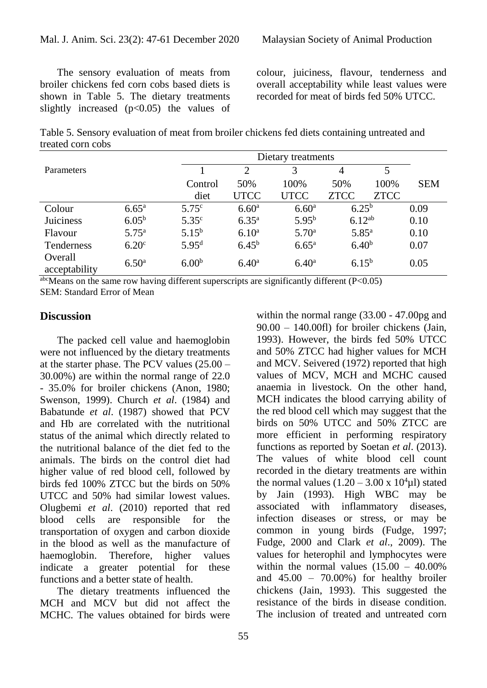The sensory evaluation of meats from broiler chickens fed corn cobs based diets is shown in Table 5. The dietary treatments slightly increased  $(p<0.05)$  the values of colour, juiciness, flavour, tenderness and overall acceptability while least values were recorded for meat of birds fed 50% UTCC.

Table 5. Sensory evaluation of meat from broiler chickens fed diets containing untreated and treated corn cobs

|                          |                   |                   | Dietary treatments |                   |                   |      |            |  |  |  |
|--------------------------|-------------------|-------------------|--------------------|-------------------|-------------------|------|------------|--|--|--|
| Parameters               |                   |                   | 2                  | 3                 | 4                 | 5    |            |  |  |  |
|                          |                   | Control           | 50%                | 100\%             | 50%               | 100% | <b>SEM</b> |  |  |  |
|                          |                   | diet              | <b>UTCC</b>        | <b>UTCC</b>       | <b>ZTCC</b>       | ZTCC |            |  |  |  |
| Colour                   | $6.65^{\rm a}$    | $5.75^{\circ}$    | 6.60 <sup>a</sup>  | 6.60 <sup>a</sup> | $6.25^{b}$        |      | 0.09       |  |  |  |
| Juiciness                | $6.05^{b}$        | 5.35 <sup>c</sup> | $6.35^{a}$         | $5.95^{b}$        | $6.12^{ab}$       |      | 0.10       |  |  |  |
| Flavour                  | $5.75^{\rm a}$    | $5.15^{b}$        | $6.10^{\rm a}$     | 5.70 <sup>a</sup> | $5.85^{\rm a}$    |      | 0.10       |  |  |  |
| <b>Tenderness</b>        | 6.20 <sup>c</sup> | 5.95 <sup>d</sup> | 6.45 <sup>b</sup>  | $6.65^{\rm a}$    | 6.40 <sup>b</sup> |      | 0.07       |  |  |  |
| Overall<br>acceptability | 6.50 <sup>a</sup> | 6.00 <sup>b</sup> | 6.40 <sup>a</sup>  | $6.40^{\rm a}$    | $6.15^{b}$        |      | 0.05       |  |  |  |

 $a<sub>bc</sub>$  Means on the same row having different superscripts are significantly different (P<0.05) SEM: Standard Error of Mean

### **Discussion**

The packed cell value and haemoglobin were not influenced by the dietary treatments at the starter phase. The PCV values (25.00 – 30.00%) are within the normal range of 22.0 - 35.0% for broiler chickens (Anon, 1980; Swenson, 1999). Church *et al*. (1984) and Babatunde *et al*. (1987) showed that PCV and Hb are correlated with the nutritional status of the animal which directly related to the nutritional balance of the diet fed to the animals. The birds on the control diet had higher value of red blood cell, followed by birds fed 100% ZTCC but the birds on 50% UTCC and 50% had similar lowest values. Olugbemi *et al*. (2010) reported that red blood cells are responsible for the transportation of oxygen and carbon dioxide in the blood as well as the manufacture of haemoglobin. Therefore, higher values indicate a greater potential for these functions and a better state of health.

The dietary treatments influenced the MCH and MCV but did not affect the MCHC. The values obtained for birds were 90.00 – 140.00fl) for broiler chickens (Jain, 1993). However, the birds fed 50% UTCC and 50% ZTCC had higher values for MCH and MCV. Seivered (1972) reported that high values of MCV, MCH and MCHC caused anaemia in livestock. On the other hand, MCH indicates the blood carrying ability of the red blood cell which may suggest that the birds on 50% UTCC and 50% ZTCC are more efficient in performing respiratory functions as reported by Soetan *et al*. (2013). The values of white blood cell count recorded in the dietary treatments are within the normal values  $(1.20 - 3.00 \times 10^4 \mu l)$  stated by Jain (1993). High WBC may be associated with inflammatory diseases, infection diseases or stress, or may be common in young birds (Fudge, 1997; Fudge, 2000 and Clark *et al*., 2009). The values for heterophil and lymphocytes were within the normal values  $(15.00 - 40.00\%$ and  $45.00 - 70.00\%$  for healthy broiler chickens (Jain, 1993). This suggested the resistance of the birds in disease condition. The inclusion of treated and untreated corn

within the normal range (33.00 - 47.00pg and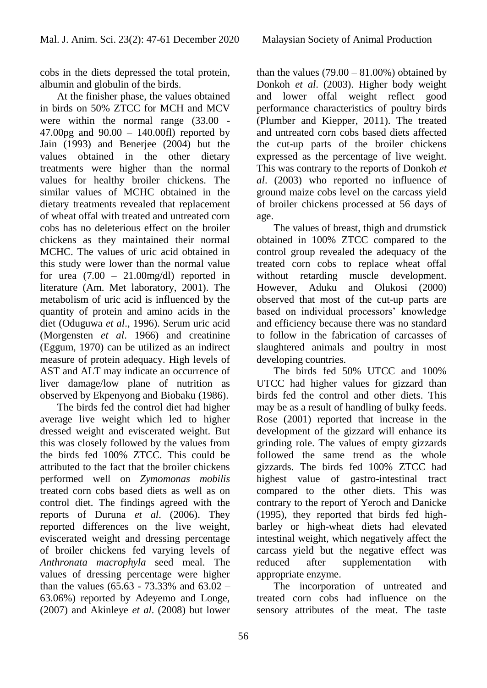cobs in the diets depressed the total protein, albumin and globulin of the birds.

At the finisher phase, the values obtained in birds on 50% ZTCC for MCH and MCV were within the normal range (33.00 -47.00pg and 90.00 – 140.00fl) reported by Jain (1993) and Benerjee (2004) but the values obtained in the other dietary treatments were higher than the normal values for healthy broiler chickens. The similar values of MCHC obtained in the dietary treatments revealed that replacement of wheat offal with treated and untreated corn cobs has no deleterious effect on the broiler chickens as they maintained their normal MCHC. The values of uric acid obtained in this study were lower than the normal value for urea  $(7.00 - 21.00 \text{mg/dl})$  reported in literature (Am. Met laboratory, 2001). The metabolism of uric acid is influenced by the quantity of protein and amino acids in the diet (Oduguwa *et al*., 1996). Serum uric acid (Morgensten *et al*. 1966) and creatinine (Eggum, 1970) can be utilized as an indirect measure of protein adequacy. High levels of AST and ALT may indicate an occurrence of liver damage/low plane of nutrition as observed by Ekpenyong and Biobaku (1986).

The birds fed the control diet had higher average live weight which led to higher dressed weight and eviscerated weight. But this was closely followed by the values from the birds fed 100% ZTCC. This could be attributed to the fact that the broiler chickens performed well on *Zymomonas mobilis* treated corn cobs based diets as well as on control diet. The findings agreed with the reports of Duruna *et al*. (2006). They reported differences on the live weight, eviscerated weight and dressing percentage of broiler chickens fed varying levels of *Anthronata macrophyla* seed meal. The values of dressing percentage were higher than the values (65.63 - 73.33% and  $63.02 -$ 63.06%) reported by Adeyemo and Longe, (2007) and Akinleye *et al*. (2008) but lower

than the values  $(79.00 - 81.00\%)$  obtained by Donkoh *et al*. (2003). Higher body weight and lower offal weight reflect good performance characteristics of poultry birds (Plumber and Kiepper, 2011). The treated and untreated corn cobs based diets affected the cut-up parts of the broiler chickens expressed as the percentage of live weight. This was contrary to the reports of Donkoh *et al*. (2003) who reported no influence of ground maize cobs level on the carcass yield of broiler chickens processed at 56 days of age.

The values of breast, thigh and drumstick obtained in 100% ZTCC compared to the control group revealed the adequacy of the treated corn cobs to replace wheat offal without retarding muscle development. However, Aduku and Olukosi (2000) observed that most of the cut-up parts are based on individual processors' knowledge and efficiency because there was no standard to follow in the fabrication of carcasses of slaughtered animals and poultry in most developing countries.

The birds fed 50% UTCC and 100% UTCC had higher values for gizzard than birds fed the control and other diets. This may be as a result of handling of bulky feeds. Rose (2001) reported that increase in the development of the gizzard will enhance its grinding role. The values of empty gizzards followed the same trend as the whole gizzards. The birds fed 100% ZTCC had highest value of gastro-intestinal tract compared to the other diets. This was contrary to the report of Yeroch and Danicke (1995), they reported that birds fed highbarley or high-wheat diets had elevated intestinal weight, which negatively affect the carcass yield but the negative effect was reduced after supplementation with appropriate enzyme.

The incorporation of untreated and treated corn cobs had influence on the sensory attributes of the meat. The taste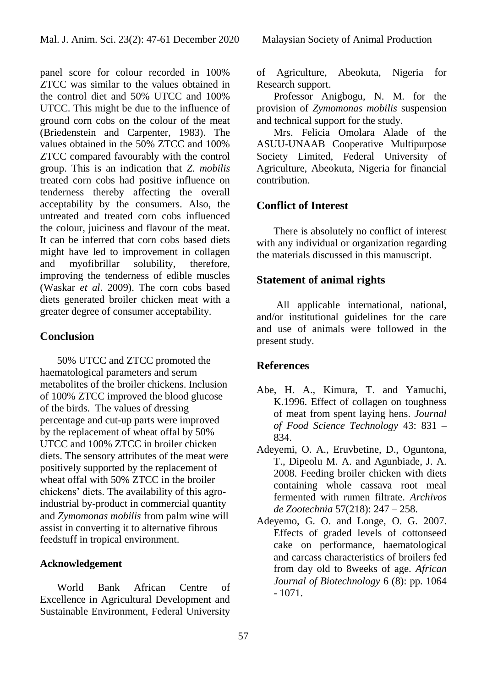panel score for colour recorded in 100% ZTCC was similar to the values obtained in the control diet and 50% UTCC and 100% UTCC. This might be due to the influence of ground corn cobs on the colour of the meat (Briedenstein and Carpenter, 1983). The values obtained in the 50% ZTCC and 100% ZTCC compared favourably with the control group. This is an indication that *Z. mobilis* treated corn cobs had positive influence on tenderness thereby affecting the overall acceptability by the consumers. Also, the untreated and treated corn cobs influenced the colour, juiciness and flavour of the meat. It can be inferred that corn cobs based diets might have led to improvement in collagen and myofibrillar solubility, therefore, improving the tenderness of edible muscles (Waskar *et al*. 2009). The corn cobs based diets generated broiler chicken meat with a greater degree of consumer acceptability.

# **Conclusion**

50% UTCC and ZTCC promoted the haematological parameters and serum metabolites of the broiler chickens. Inclusion of 100% ZTCC improved the blood glucose of the birds. The values of dressing percentage and cut-up parts were improved by the replacement of wheat offal by 50% UTCC and 100% ZTCC in broiler chicken diets. The sensory attributes of the meat were positively supported by the replacement of wheat offal with 50% ZTCC in the broiler chickens' diets. The availability of this agroindustrial by-product in commercial quantity and *Zymomonas mobilis* from palm wine will assist in converting it to alternative fibrous feedstuff in tropical environment.

### **Acknowledgement**

World Bank African Centre of Excellence in Agricultural Development and Sustainable Environment, Federal University

of Agriculture, Abeokuta, Nigeria for Research support.

Professor Anigbogu, N. M. for the provision of *Zymomonas mobilis* suspension and technical support for the study.

Mrs. Felicia Omolara Alade of the ASUU-UNAAB Cooperative Multipurpose Society Limited, Federal University of Agriculture, Abeokuta, Nigeria for financial contribution.

# **Conflict of Interest**

There is absolutely no conflict of interest with any individual or organization regarding the materials discussed in this manuscript.

# **Statement of animal rights**

All applicable international, national, and/or institutional guidelines for the care and use of animals were followed in the present study.

# **References**

- Abe, H. A., Kimura, T. and Yamuchi, K.1996. Effect of collagen on toughness of meat from spent laying hens. *Journal of Food Science Technology* 43: 831 – 834.
- Adeyemi, O. A., Eruvbetine, D., Oguntona, T., Dipeolu M. A. and Agunbiade, J. A. 2008. Feeding broiler chicken with diets containing whole cassava root meal fermented with rumen filtrate. *Archivos de Zootechnia* 57(218): 247 – 258.
- Adeyemo, G. O. and Longe, O. G. 2007. Effects of graded levels of cottonseed cake on performance, haematological and carcass characteristics of broilers fed from day old to 8weeks of age. *African Journal of Biotechnology* 6 (8): pp. 1064 - 1071.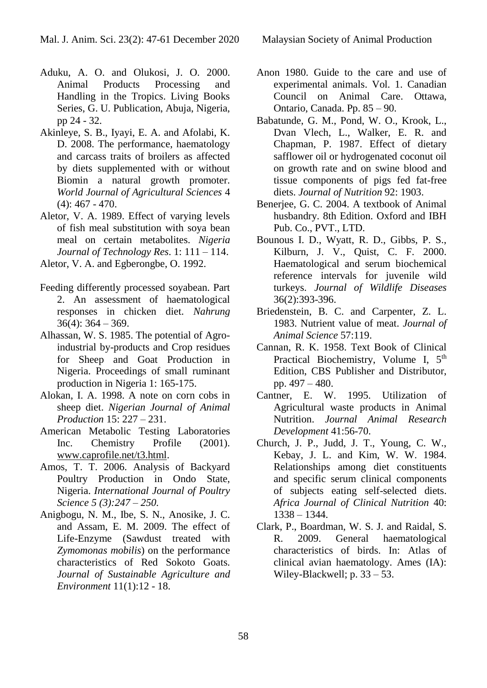- Aduku, A. O. and Olukosi, J. O. 2000. Animal Products Processing and Handling in the Tropics. Living Books Series, G. U. Publication, Abuja, Nigeria, pp 24 - 32.
- Akinleye, S. B., Iyayi, E. A. and Afolabi, K. D. 2008. The performance, haematology and carcass traits of broilers as affected by diets supplemented with or without Biomin a natural growth promoter. *World Journal of Agricultural Sciences* 4 (4): 467 - 470.
- Aletor, V. A. 1989. Effect of varying levels of fish meal substitution with soya bean meal on certain metabolites. *Nigeria Journal of Technology Res*. 1: 111 – 114.
- Aletor, V. A. and Egberongbe, O. 1992.
- Feeding differently processed soyabean. Part 2. An assessment of haematological responses in chicken diet. *Nahrung*  $36(4)$ :  $364 - 369$ .
- Alhassan, W. S. 1985. The potential of Agroindustrial by-products and Crop residues for Sheep and Goat Production in Nigeria. Proceedings of small ruminant production in Nigeria 1: 165-175.
- Alokan, I. A. 1998. A note on corn cobs in sheep diet. *Nigerian Journal of Animal Production* 15: 227 – 231.
- American Metabolic Testing Laboratories Inc. Chemistry Profile (2001). www.caprofile.net/t3.html.
- Amos, T. T. 2006. Analysis of Backyard Poultry Production in Ondo State, Nigeria. *International Journal of Poultry Science 5 (3):247 – 250.*
- Anigbogu, N. M., Ibe, S. N., Anosike, J. C. and Assam, E. M. 2009. The effect of Life-Enzyme (Sawdust treated with *Zymomonas mobilis*) on the performance characteristics of Red Sokoto Goats. *Journal of Sustainable Agriculture and Environment* 11(1):12 - 18.
- Anon 1980. Guide to the care and use of experimental animals. Vol. 1. Canadian Council on Animal Care. Ottawa, Ontario, Canada. Pp. 85 – 90.
- Babatunde, G. M., Pond, W. O., Krook, L., Dvan Vlech, L., Walker, E. R. and Chapman, P. 1987. Effect of dietary safflower oil or hydrogenated coconut oil on growth rate and on swine blood and tissue components of pigs fed fat-free diets. *Journal of Nutrition* 92: 1903.
- Benerjee, G. C. 2004. A textbook of Animal husbandry. 8th Edition. Oxford and IBH Pub. Co., PVT., LTD.
- Bounous I. D., Wyatt, R. D., Gibbs, P. S., Kilburn, J. V., Quist, C. F. 2000. Haematological and serum biochemical reference intervals for juvenile wild turkeys. *Journal of Wildlife Diseases*  36(2):393-396.
- Briedenstein, B. C. and Carpenter, Z. L. 1983. Nutrient value of meat. *Journal of Animal Science* 57:119.
- Cannan, R. K. 1958. Text Book of Clinical Practical Biochemistry, Volume I,  $5<sup>th</sup>$ Edition, CBS Publisher and Distributor, pp. 497 – 480.
- Cantner, E. W. 1995. Utilization of Agricultural waste products in Animal Nutrition. *Journal Animal Research Development* 41:56-70.
- Church, J. P., Judd, J. T., Young, C. W., Kebay, J. L. and Kim, W. W. 1984. Relationships among diet constituents and specific serum clinical components of subjects eating self-selected diets. *Africa Journal of Clinical Nutrition* 40: 1338 – 1344.
- Clark, P., Boardman, W. S. J. and Raidal, S. R. 2009. General haematological characteristics of birds. In: Atlas of clinical avian haematology. Ames (IA): Wiley-Blackwell; p. 33 – 53.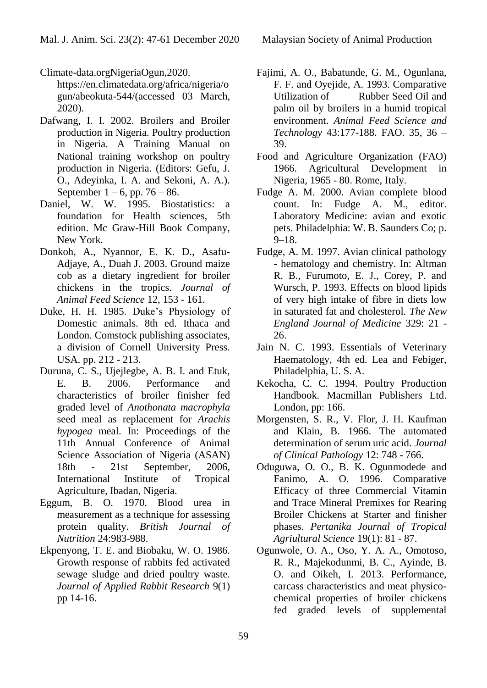Climate-data.orgNigeriaOgun,2020.

https://en.climatedata.org/africa/nigeria/o gun/abeokuta-544/(accessed 03 March, 2020).

- Dafwang, I. I. 2002. Broilers and Broiler production in Nigeria. Poultry production in Nigeria. A Training Manual on National training workshop on poultry production in Nigeria. (Editors: Gefu, J. O., Adeyinka, I. A. and Sekoni, A. A.). September  $1 - 6$ , pp. 76 – 86.
- Daniel, W. W. 1995. Biostatistics: a foundation for Health sciences, 5th edition. Mc Graw-Hill Book Company, New York.
- Donkoh, A., Nyannor, E. K. D., Asafu-Adjaye, A., Duah J. 2003. Ground maize cob as a dietary ingredient for broiler chickens in the tropics. *Journal of Animal Feed Science* 12, 153 - 161.
- Duke, H. H. 1985. Duke's Physiology of Domestic animals. 8th ed. Ithaca and London. Comstock publishing associates, a division of Cornell University Press. USA. pp. 212 - 213.
- Duruna, C. S., Ujejlegbe, A. B. I. and Etuk, E. B. 2006. Performance and characteristics of broiler finisher fed graded level of *Anothonata macrophyla* seed meal as replacement for *Arachis hypogea* meal. In: Proceedings of the 11th Annual Conference of Animal Science Association of Nigeria (ASAN) 18th - 21st September, 2006, International Institute of Tropical Agriculture, Ibadan, Nigeria.
- Eggum, B. O. 1970. Blood urea in measurement as a technique for assessing protein quality. *British Journal of Nutrition* 24:983-988.
- Ekpenyong, T. E. and Biobaku, W. O. 1986. Growth response of rabbits fed activated sewage sludge and dried poultry waste. *Journal of Applied Rabbit Research* 9(1) pp 14-16.
- Fajimi, A. O., Babatunde, G. M., Ogunlana, F. F. and Oyejide, A. 1993. Comparative Utilization of Rubber Seed Oil and palm oil by broilers in a humid tropical environment. *Animal Feed Science and Technology* 43:177-188. FAO. 35, 36 – 39.
- Food and Agriculture Organization (FAO) 1966. Agricultural Development in Nigeria, 1965 - 80. Rome, Italy.
- Fudge A. M. 2000. Avian complete blood count. In: Fudge A. M., editor. Laboratory Medicine: avian and exotic pets. Philadelphia: W. B. Saunders Co; p. 9–18.
- Fudge, A. M. 1997. Avian clinical pathology - hematology and chemistry. In: Altman R. B., Furumoto, E. J., Corey, P. and Wursch, P. 1993. Effects on blood lipids of very high intake of fibre in diets low in saturated fat and cholesterol. *The New England Journal of Medicine* 329: 21 - 26.
- Jain N. C. 1993. Essentials of Veterinary Haematology, 4th ed. Lea and Febiger, Philadelphia, U. S. A.
- Kekocha, C. C. 1994. Poultry Production Handbook. Macmillan Publishers Ltd. London, pp: 166.
- Morgensten, S. R., V. Flor, J. H. Kaufman and Klain, B. 1966. The automated determination of serum uric acid. *Journal of Clinical Pathology* 12: 748 - 766.
- Oduguwa, O. O., B. K. Ogunmodede and Fanimo, A. O. 1996. Comparative Efficacy of three Commercial Vitamin and Trace Mineral Premixes for Rearing Broiler Chickens at Starter and finisher phases. *Pertanika Journal of Tropical Agriultural Science* 19(1): 81 - 87.
- Ogunwole, O. A., Oso, Y. A. A., Omotoso, R. R., Majekodunmi, B. C., Ayinde, B. O. and Oikeh, I. 2013. Performance, carcass characteristics and meat physicochemical properties of broiler chickens fed graded levels of supplemental